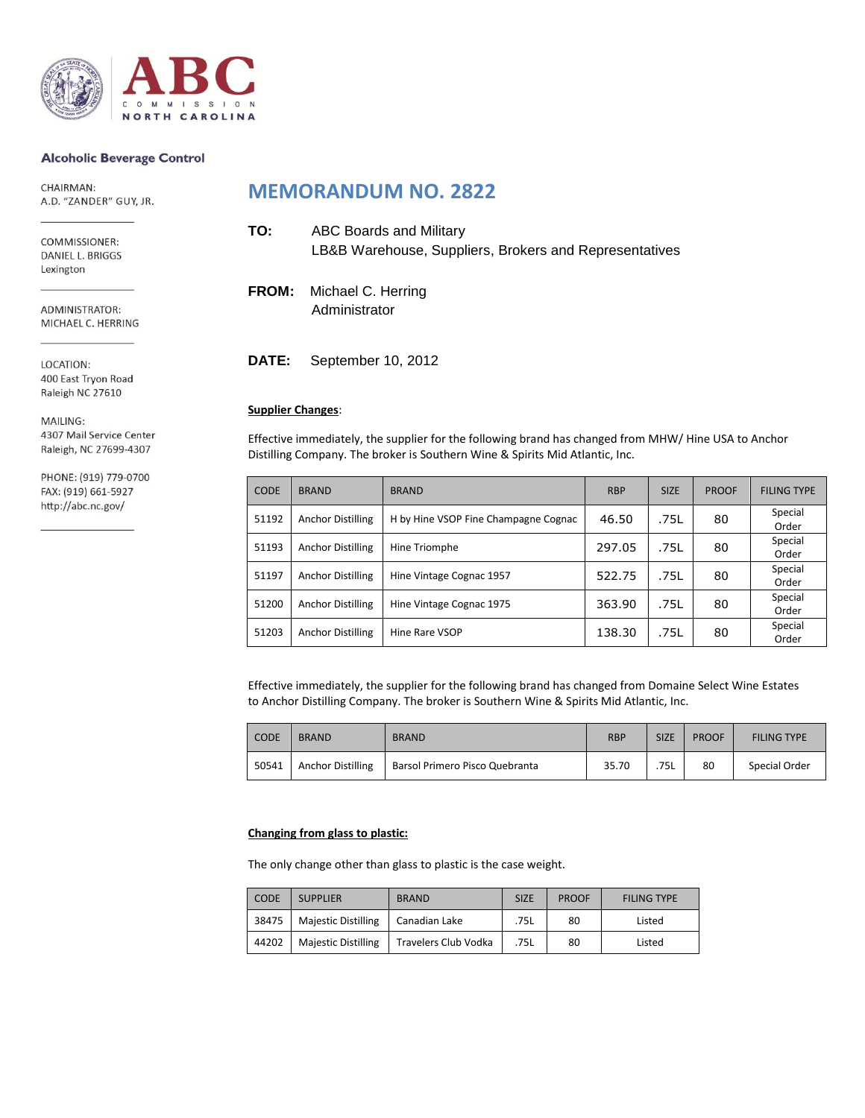

#### **Alcoholic Beverage Control**

CHAIRMAN: A.D. "ZANDER" GUY, JR.

COMMISSIONER: DANIEL L. BRIGGS Lexington

ADMINISTRATOR: MICHAEL C. HERRING

LOCATION: 400 East Tryon Road Raleigh NC 27610

MAILING: 4307 Mail Service Center Raleigh, NC 27699-4307

PHONE: (919) 779-0700 FAX: (919) 661-5927 http://abc.nc.gov/

# **MEMORANDUM NO. 2822**

| TO: | ABC Boards and Military                                |
|-----|--------------------------------------------------------|
|     | LB&B Warehouse, Suppliers, Brokers and Representatives |

**FROM:** Michael C. Herring Administrator

**DATE:** September 10, 2012

# **Supplier Changes**:

Effective immediately, the supplier for the following brand has changed from MHW/ Hine USA to Anchor Distilling Company. The broker is Southern Wine & Spirits Mid Atlantic, Inc.

| CODE  | <b>BRAND</b>             | <b>BRAND</b>                         | <b>RBP</b>          | <b>SIZE</b> | <b>PROOF</b>     | <b>FILING TYPE</b> |
|-------|--------------------------|--------------------------------------|---------------------|-------------|------------------|--------------------|
| 51192 | <b>Anchor Distilling</b> | H by Hine VSOP Fine Champagne Cognac | .75L<br>46.50<br>80 |             | Special<br>Order |                    |
| 51193 | <b>Anchor Distilling</b> | .75L<br>297.05<br>Hine Triomphe      |                     | 80          | Special<br>Order |                    |
| 51197 | <b>Anchor Distilling</b> | Hine Vintage Cognac 1957             | .75L<br>522.75      |             | 80               | Special<br>Order   |
| 51200 | <b>Anchor Distilling</b> | Hine Vintage Cognac 1975             | 363.90              | .75L<br>80  |                  | Special<br>Order   |
| 51203 | <b>Anchor Distilling</b> | Hine Rare VSOP                       | 138.30              | .75L<br>80  |                  | Special<br>Order   |

Effective immediately, the supplier for the following brand has changed from Domaine Select Wine Estates to Anchor Distilling Company. The broker is Southern Wine & Spirits Mid Atlantic, Inc.

| <b>CODE</b> | <b>BRAND</b>             | <b>BRAND</b>                   | <b>RBP</b> | <b>SIZE</b> | <b>PROOF</b> | <b>FILING TYPE</b> |
|-------------|--------------------------|--------------------------------|------------|-------------|--------------|--------------------|
| 50541       | <b>Anchor Distilling</b> | Barsol Primero Pisco Quebranta | 35.70      | .75L        | 80           | Special Order      |

#### **Changing from glass to plastic:**

The only change other than glass to plastic is the case weight.

| <b>CODE</b> | <b>SUPPLIER</b>            | <b>BRAND</b>                | <b>SIZE</b> | <b>PROOF</b> | <b>FILING TYPE</b> |
|-------------|----------------------------|-----------------------------|-------------|--------------|--------------------|
| 38475       | <b>Majestic Distilling</b> | Canadian Lake               | .75L        | 80           | Listed             |
| 44202       | <b>Majestic Distilling</b> | <b>Travelers Club Vodka</b> | .75L        | 80           | Listed             |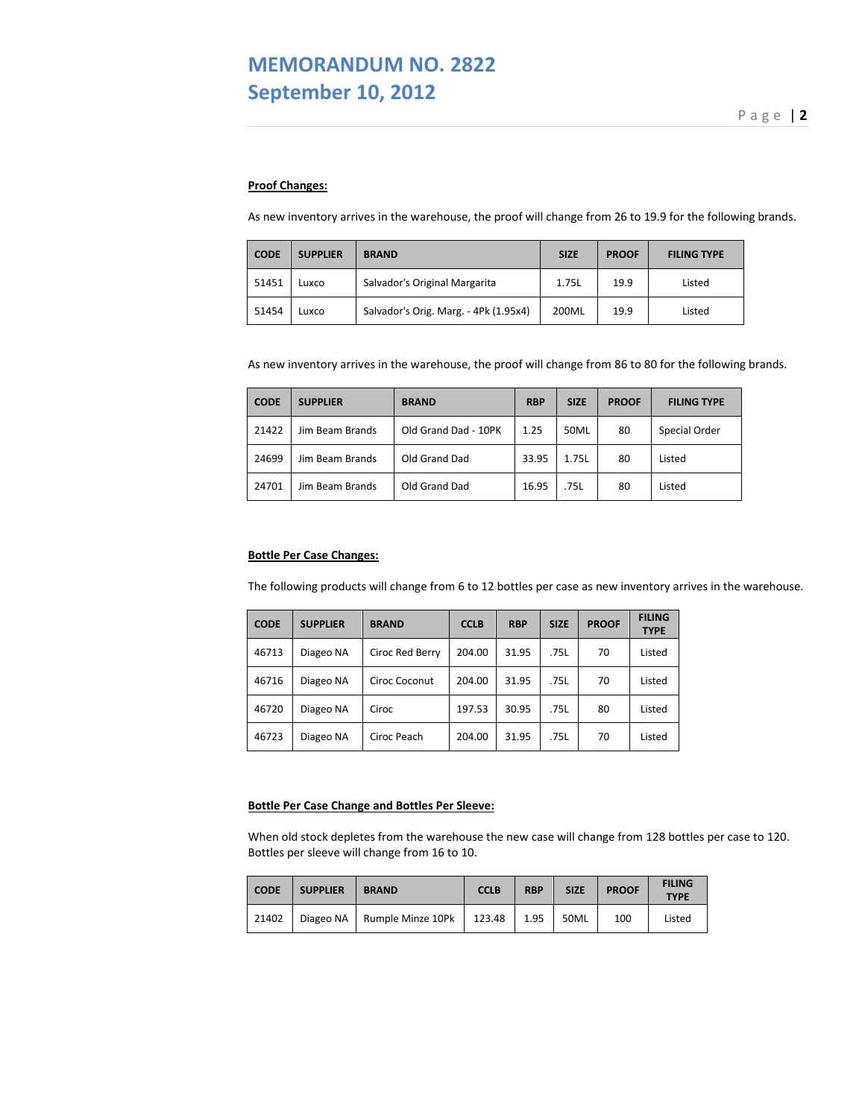# **MEMORANDUM NO. 2822 September 10, 2012**

# **Proof Changes:**

As new inventory arrives in the warehouse, the proof will change from 26 to 19.9 for the following brands.

| <b>CODE</b> | <b>SUPPLIER</b> | <b>BRAND</b>                          | <b>SIZE</b> | <b>PROOF</b> | <b>FILING TYPE</b> |
|-------------|-----------------|---------------------------------------|-------------|--------------|--------------------|
| 51451       | <b>LUXCO</b>    | Salvador's Original Margarita         | 1.75L       | 19.9         | Listed             |
| 51454       | LUXCO           | Salvador's Orig. Marg. - 4Pk (1.95x4) | 200ML       | 19.9         | Listed             |

As new inventory arrives in the warehouse, the proof will change from 86 to 80 for the following brands.

| <b>CODE</b> | <b>SUPPLIER</b> | <b>BRAND</b>         | <b>RBP</b> | <b>SIZE</b> | <b>PROOF</b> | <b>FILING TYPE</b> |
|-------------|-----------------|----------------------|------------|-------------|--------------|--------------------|
| 21422       | Jim Beam Brands | Old Grand Dad - 10PK | 1.25       | 50ML        | 80           | Special Order      |
| 24699       | Jim Beam Brands | Old Grand Dad        | 33.95      | 1.75L       | 80           | Listed             |
| 24701       | Jim Beam Brands | Old Grand Dad        | 16.95      | .75L        | 80           | Listed             |

#### **Bottle Per Case Changes:**

The following products will change from 6 to 12 bottles per case as new inventory arrives in the warehouse.

| <b>CODE</b> | <b>SUPPLIER</b> | <b>BRAND</b>    | <b>CCLB</b> | <b>RBP</b> | <b>SIZE</b> | <b>PROOF</b> | <b>FILING</b><br><b>TYPE</b> |
|-------------|-----------------|-----------------|-------------|------------|-------------|--------------|------------------------------|
| 46713       | Diageo NA       | Ciroc Red Berry | 204.00      | 31.95      | .75L        | 70           | Listed                       |
| 46716       | Diageo NA       | Ciroc Coconut   |             | 31.95      | .75L        | 70           | Listed                       |
| 46720       | Diageo NA       | Ciroc           | 197.53      | 30.95      | .75L        | 80           | Listed                       |
| 46723       | Diageo NA       | Ciroc Peach     | 204.00      | 31.95      | .75L        | 70           | Listed                       |

#### **Bottle Per Case Change and Bottles Per Sleeve:**

When old stock depletes from the warehouse the new case will change from 128 bottles per case to 120. Bottles per sleeve will change from 16 to 10.

| <b>CODE</b> | <b>SUPPLIER</b> | <b>BRAND</b>                  | <b>CCLB</b> | <b>RBP</b> | <b>SIZE</b> | <b>PROOF</b> | <b>FILING</b><br><b>TYPE</b> |
|-------------|-----------------|-------------------------------|-------------|------------|-------------|--------------|------------------------------|
| 21402       |                 | Diageo NA   Rumple Minze 10Pk | 123.48      | 1.95       | 50ML        | 100          | Listed                       |